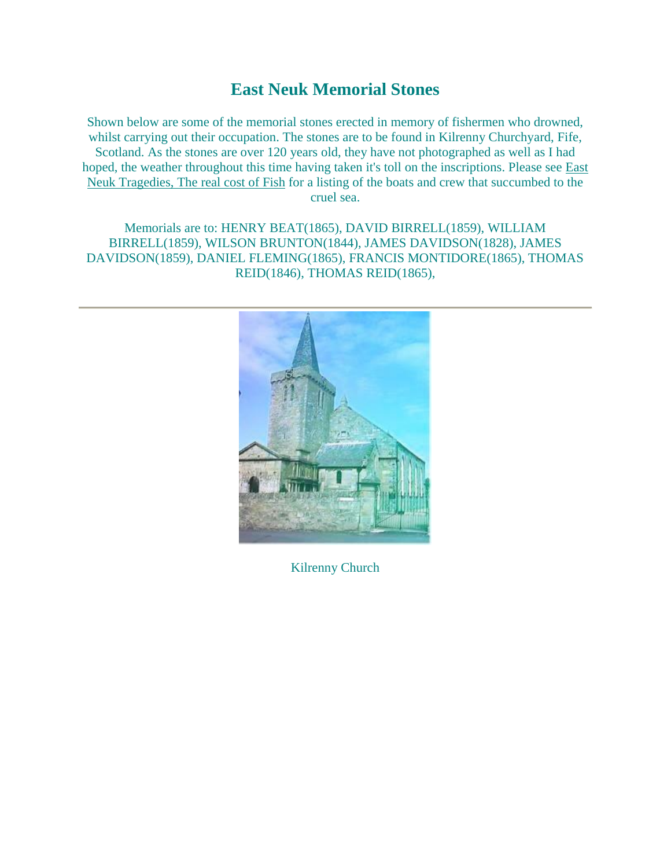## **East Neuk Memorial Stones**

Shown below are some of the memorial stones erected in memory of fishermen who drowned, whilst carrying out their occupation. The stones are to be found in Kilrenny Churchyard, Fife, Scotland. As the stones are over 120 years old, they have not photographed as well as I had hoped, the weather throughout this time having taken it's toll on the inscriptions. Please see [East](http://wkweb4.cableinet.co.uk/donmanson/eastneukfish.htm)  [Neuk Tragedies, The real cost of Fish](http://wkweb4.cableinet.co.uk/donmanson/eastneukfish.htm) for a listing of the boats and crew that succumbed to the cruel sea.

Memorials are to: HENRY BEAT(1865), DAVID BIRRELL(1859), WILLIAM BIRRELL(1859), WILSON BRUNTON(1844), JAMES DAVIDSON(1828), JAMES DAVIDSON(1859), DANIEL FLEMING(1865), FRANCIS MONTIDORE(1865), THOMAS REID(1846), THOMAS REID(1865),



Kilrenny Church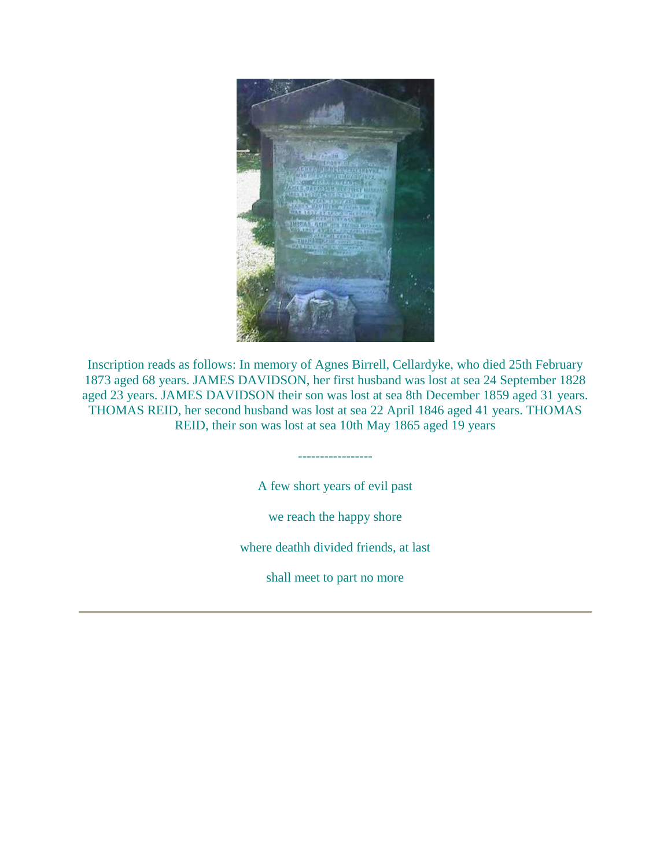

Inscription reads as follows: In memory of Agnes Birrell, Cellardyke, who died 25th February 1873 aged 68 years. JAMES DAVIDSON, her first husband was lost at sea 24 September 1828 aged 23 years. JAMES DAVIDSON their son was lost at sea 8th December 1859 aged 31 years. THOMAS REID, her second husband was lost at sea 22 April 1846 aged 41 years. THOMAS REID, their son was lost at sea 10th May 1865 aged 19 years

A few short years of evil past

-----------------

we reach the happy shore

where deathh divided friends, at last

shall meet to part no more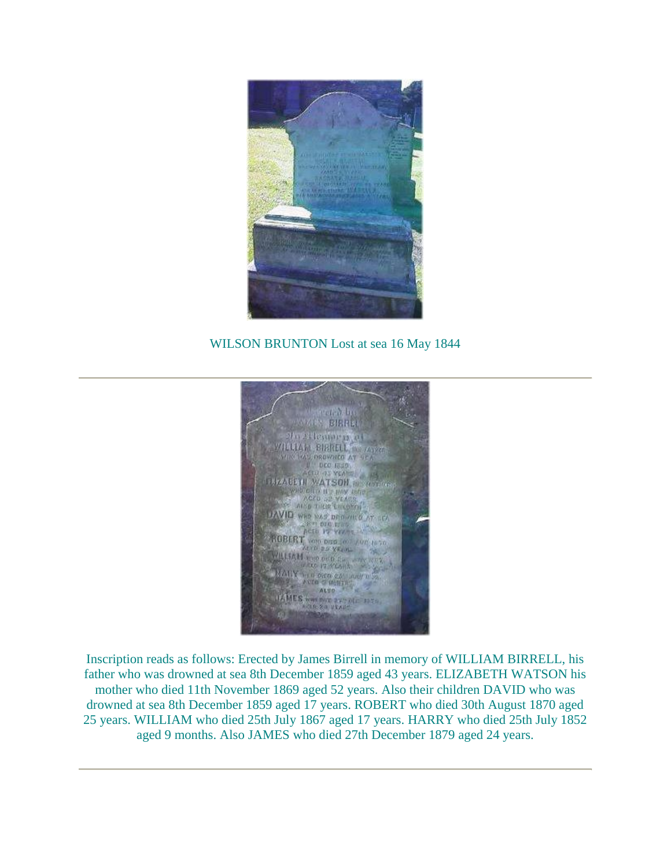

## WILSON BRUNTON Lost at sea 16 May 1844



Inscription reads as follows: Erected by James Birrell in memory of WILLIAM BIRRELL, his father who was drowned at sea 8th December 1859 aged 43 years. ELIZABETH WATSON his mother who died 11th November 1869 aged 52 years. Also their children DAVID who was drowned at sea 8th December 1859 aged 17 years. ROBERT who died 30th August 1870 aged 25 years. WILLIAM who died 25th July 1867 aged 17 years. HARRY who died 25th July 1852 aged 9 months. Also JAMES who died 27th December 1879 aged 24 years.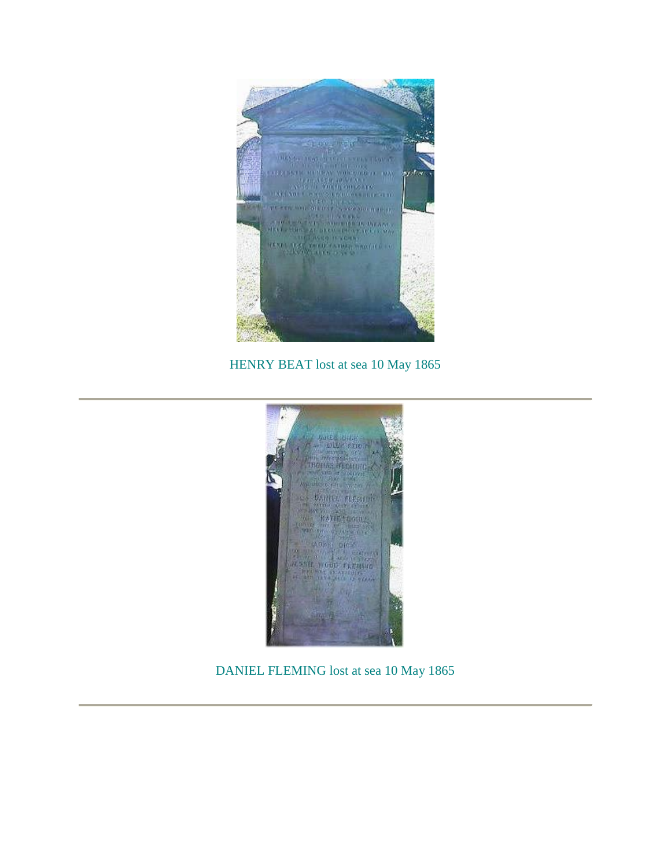

HENRY BEAT lost at sea 10 May 1865



DANIEL FLEMING lost at sea 10 May 1865